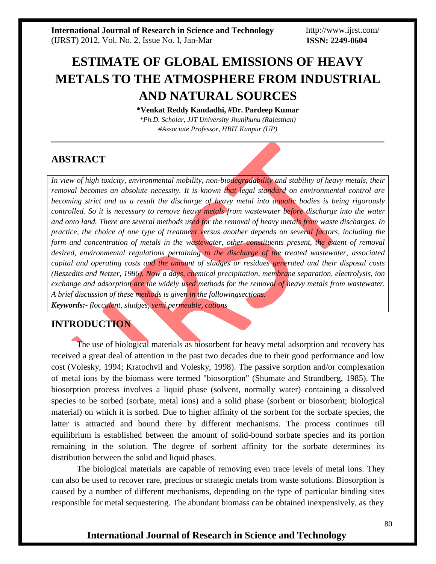http://www.ijrst.com/ **ISSN: 2249-0604**

# **ESTIMATE OF GLOBAL EMISSIONS OF HEAVY METALS TO THE ATMOSPHERE FROM INDUSTRIAL AND NATURAL SOURCES**

**\*Venkat Reddy Kandadhi, #Dr. Pardeep Kumar** *\*Ph.D. Scholar, JJT University Jhunjhunu (Rajasthan) #Associate Professor, HBIT Kanpur (UP)*

# **ABSTRACT**

*In view of high toxicity, environmental mobility, non-biodegradability and stability of heavy metals, their removal becomes an absolute necessity. It is known that legal standard on environmental control are becoming strict and as a result the discharge of heavy metal into aquatic bodies is being rigorously controlled. So it is necessary to remove heavy metals from wastewater before discharge into the water and onto land. There are several methods used for the removal of heavy metals from waste discharges. In practice, the choice of one type of treatment versus another depends on several factors, including the form and concentration of metals in the wastewater, other constituents present, the extent of removal desired, environmental regulations pertaining to the discharge of the treated wastewater, associated capital and operating costs and the amount of sludges or residues generated and their disposal costs (Beszedits and Netzer, 1986). Now a days, chemical precipitation, membrane separation, electrolysis, ion exchange and adsorption are the widely used methods for the removal of heavy metals from wastewater. A brief discussion of these methods is given in the followingsections. Keywords:- flocculent, sludges, semi permeable, cations*

# **INTRODUCTION**

The use of biological materials as biosorbent for heavy metal adsorption and recovery has received a great deal of attention in the past two decades due to their good performance and low cost (Volesky, 1994; Kratochvil and Volesky, 1998). The passive sorption and/or complexation of metal ions by the biomass were termed "biosorption" (Shumate and Strandberg, 1985). The biosorption process involves a liquid phase (solvent, normally water) containing a dissolved species to be sorbed (sorbate, metal ions) and a solid phase (sorbent or biosorbent; biological material) on which it is sorbed. Due to higher affinity of the sorbent for the sorbate species, the latter is attracted and bound there by different mechanisms. The process continues till equilibrium is established between the amount of solid-bound sorbate species and its portion remaining in the solution. The degree of sorbent affinity for the sorbate determines its distribution between the solid and liquid phases.

The biological materials are capable of removing even trace levels of metal ions. They can also be used to recover rare, precious or strategic metals from waste solutions. Biosorption is caused by a number of different mechanisms, depending on the type of particular binding sites responsible for metal sequestering. The abundant biomass can be obtained inexpensively, as they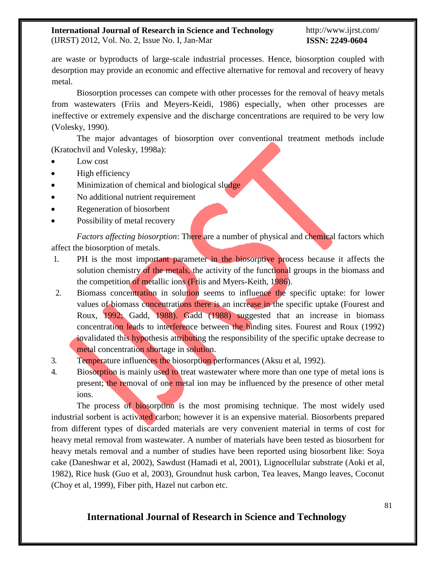#### **International Journal of Research in Science and Technology** (IJRST) 2012, Vol. No. 2, Issue No. I, Jan-Mar

#### http://www.ijrst.com/ **ISSN: 2249-0604**

are waste or byproducts of large-scale industrial processes. Hence, biosorption coupled with desorption may provide an economic and effective alternative for removal and recovery of heavy

Biosorption processes can compete with other processes for the removal of heavy metals from wastewaters (Friis and Meyers-Keidi, 1986) especially, when other processes are ineffective or extremely expensive and the discharge concentrations are required to be very low (Volesky, 1990).

The major advantages of biosorption over conventional treatment methods include (Kratochvil and Volesky, 1998a):

Low cost

metal.

- High efficiency
- Minimization of chemical and biological sludge
- No additional nutrient requirement
- Regeneration of biosorbent
- Possibility of metal recovery

*Factors affecting biosorption*: There are a number of physical and chemical factors which affect the biosorption of metals.

- 1. PH is the most important parameter in the biosorptive process because it affects the solution chemistry of the metals, the activity of the functional groups in the biomass and the competition of metallic ions (Friis and Myers-Keith, 1986).
- 2. Biomass concentration in solution seems to influence the specific uptake: for lower values of biomass concentrations there is an increase in the specific uptake (Fourest and Roux, 1992; Gadd, 1988). Gadd (1988) suggested that an increase in biomass concentration leads to interference between the binding sites. Fourest and Roux (1992) invalidated this hypothesis attributing the responsibility of the specific uptake decrease to metal concentration shortage in solution.
- 3. Temperature influences the biosorption performances (Aksu et al, 1992).
- 4. Biosorption is mainly used to treat wastewater where more than one type of metal ions is present; the removal of one metal ion may be influenced by the presence of other metal ions.

The process of biosorption is the most promising technique. The most widely used industrial sorbent is activated carbon; however it is an expensive material. Biosorbents prepared from different types of discarded materials are very convenient material in terms of cost for heavy metal removal from wastewater. A number of materials have been tested as biosorbent for heavy metals removal and a number of studies have been reported using biosorbent like: Soya cake (Daneshwar et al, 2002), Sawdust (Hamadi et al, 2001), Lignocellular substrate (Aoki et al, 1982), Rice husk (Guo et al, 2003), Groundnut husk carbon, Tea leaves, Mango leaves, Coconut (Choy et al, 1999), Fiber pith, Hazel nut carbon etc.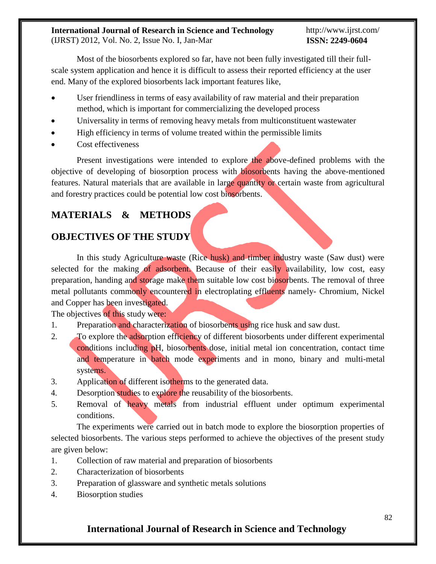Most of the biosorbents explored so far, have not been fully investigated till their fullscale system application and hence it is difficult to assess their reported efficiency at the user end. Many of the explored biosorbents lack important features like,

- User friendliness in terms of easy availability of raw material and their preparation method, which is important for commercializing the developed process
- Universality in terms of removing heavy metals from multiconstituent wastewater
- High efficiency in terms of volume treated within the permissible limits
- Cost effectiveness

Present investigations were intended to explore the above-defined problems with the objective of developing of biosorption process with biosorbents having the above-mentioned features. Natural materials that are available in large quantity or certain waste from agricultural and forestry practices could be potential low cost biosorbents.

# **MATERIALS & METHODS**

# **OBJECTIVES OF THE STUDY**

In this study Agriculture waste (Rice husk) and timber industry waste (Saw dust) were selected for the making of adsorbent. Because of their easily availability, low cost, easy preparation, handing and storage make them suitable low cost biosorbents. The removal of three metal pollutants commonly encountered in electroplating effluents namely- Chromium, Nickel and Copper has been investigated.

The objectives of this study were:

- 1. Preparation and characterization of biosorbents using rice husk and saw dust.
- 2. To explore the adsorption efficiency of different biosorbents under different experimental conditions including pH, biosorbents dose, initial metal ion concentration, contact time and temperature in batch mode experiments and in mono, binary and multi-metal systems.
- 3. Application of different isotherms to the generated data.
- 4. Desorption studies to explore the reusability of the biosorbents.
- 5. Removal of heavy metals from industrial effluent under optimum experimental conditions.

The experiments were carried out in batch mode to explore the biosorption properties of selected biosorbents. The various steps performed to achieve the objectives of the present study are given below:

- 1. Collection of raw material and preparation of biosorbents
- 2. Characterization of biosorbents
- 3. Preparation of glassware and synthetic metals solutions
- 4. Biosorption studies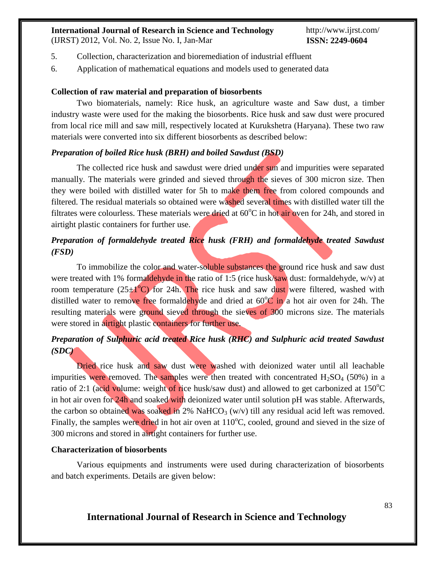(IJRST) 2012, Vol. No. 2, Issue No. I, Jan-Mar

http://www.ijrst.com/ **ISSN: 2249-0604**

- 5. Collection, characterization and bioremediation of industrial effluent
- 6. Application of mathematical equations and models used to generated data

#### **Collection of raw material and preparation of biosorbents**

Two biomaterials, namely: Rice husk, an agriculture waste and Saw dust, a timber industry waste were used for the making the biosorbents. Rice husk and saw dust were procured from local rice mill and saw mill, respectively located at Kurukshetra (Haryana). These two raw materials were converted into six different biosorbents as described below:

#### *Preparation of boiled Rice husk (BRH) and boiled Sawdust (BSD)*

The collected rice husk and sawdust were dried under sun and impurities were separated manually. The materials were grinded and sieved through the sieves of 300 micron size. Then they were boiled with distilled water for 5h to make them free from colored compounds and filtered. The residual materials so obtained were washed several times with distilled water till the filtrates were colourless. These materials were dried at  $60^{\circ}$ C in hot air oven for 24h, and stored in airtight plastic containers for further use.

## *Preparation of formaldehyde treated Rice husk (FRH) and formaldehyde treated Sawdust (FSD)*

To immobilize the color and water-soluble substances the ground rice husk and saw dust were treated with 1% formaldehyde in the ratio of 1:5 (rice husk/saw dust: formaldehyde, w/v) at room temperature (25 $\pm$ 1<sup>o</sup>C) for 24h. The rice husk and saw dust were filtered, washed with distilled water to remove free formaldehyde and dried at  $60^{\circ}$ C in a hot air oven for 24h. The resulting materials were ground sieved through the sieves of 300 microns size. The materials were stored in airtight plastic containers for further use.

## *Preparation of Sulphuric acid treated Rice husk (RHC) and Sulphuric acid treated Sawdust (SDC)*

Dried rice husk and saw dust were washed with deionized water until all leachable impurities were removed. The samples were then treated with concentrated  $H_2SO_4$  (50%) in a ratio of 2:1 (acid volume: weight of rice husk/saw dust) and allowed to get carbonized at  $150^{\circ}$ C in hot air oven for 24h and soaked with deionized water until solution pH was stable. Afterwards, the carbon so obtained was soaked in 2% NaHCO<sub>3</sub> (w/v) till any residual acid left was removed. Finally, the samples were dried in hot air oven at  $110^{\circ}$ C, cooled, ground and sieved in the size of 300 microns and stored in airtight containers for further use.

#### **Characterization of biosorbents**

Various equipments and instruments were used during characterization of biosorbents and batch experiments. Details are given below: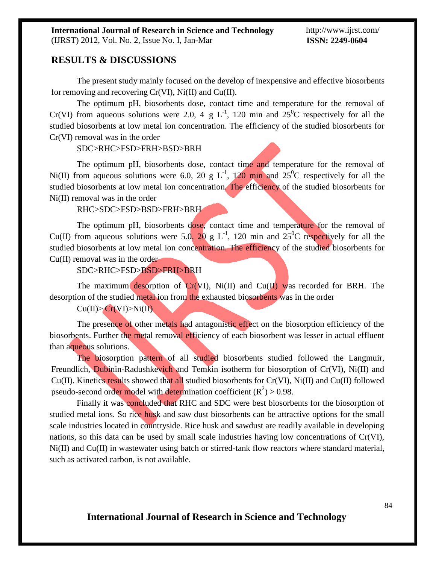#### **RESULTS & DISCUSSIONS**

The present study mainly focused on the develop of inexpensive and effective biosorbents for removing and recovering Cr(VI), Ni(II) and Cu(II).

The optimum pH, biosorbents dose, contact time and temperature for the removal of Cr(VI) from aqueous solutions were 2.0, 4 g L<sup>-1</sup>, 120 min and  $25^{\circ}$ C respectively for all the studied biosorbents at low metal ion concentration. The efficiency of the studied biosorbents for Cr(VI) removal was in the order

#### SDC>RHC>FSD>FRH>BSD>BRH

The optimum pH, biosorbents dose, contact time and temperature for the removal of Ni(II) from aqueous solutions were 6.0, 20 g L<sup>-1</sup>, 120 min and 25<sup>0</sup>C respectively for all the studied biosorbents at low metal ion concentration. The efficiency of the studied biosorbents for Ni(II) removal was in the order

RHC>SDC>FSD>BSD>FRH>BRH

The optimum pH, biosorbents dose, contact time and temperature for the removal of Cu(II) from aqueous solutions were 5.0, 20 g L<sup>-1</sup>, 120 min and  $25^{\circ}$ C respectively for all the studied biosorbents at low metal ion concentration. The efficiency of the studied biosorbents for Cu(II) removal was in the order

SDC>RHC>FSD>BSD>FRH>BRH

The maximum desorption of  $Cr(VI)$ , Ni(II) and  $Cu(I)$  was recorded for BRH. The desorption of the studied metal ion from the exhausted biosorbents was in the order

 $Cu(II) > Cr(VI) > Ni(II)$ 

The presence of other metals had antagonistic effect on the biosorption efficiency of the biosorbents. Further the metal removal efficiency of each biosorbent was lesser in actual effluent than aqueous solutions.

The biosorption pattern of all studied biosorbents studied followed the Langmuir, Freundlich, Dubinin-Radushkevich and Temkin isotherm for biosorption of Cr(VI), Ni(II) and Cu(II). Kinetics results showed that all studied biosorbents for Cr(VI), Ni(II) and Cu(II) followed pseudo-second order model with determination coefficient  $(R^2) > 0.98$ .

Finally it was concluded that RHC and SDC were best biosorbents for the biosorption of studied metal ions. So rice husk and saw dust biosorbents can be attractive options for the small scale industries located in countryside. Rice husk and sawdust are readily available in developing nations, so this data can be used by small scale industries having low concentrations of Cr(VI), Ni(II) and Cu(II) in wastewater using batch or stirred-tank flow reactors where standard material, such as activated carbon, is not available.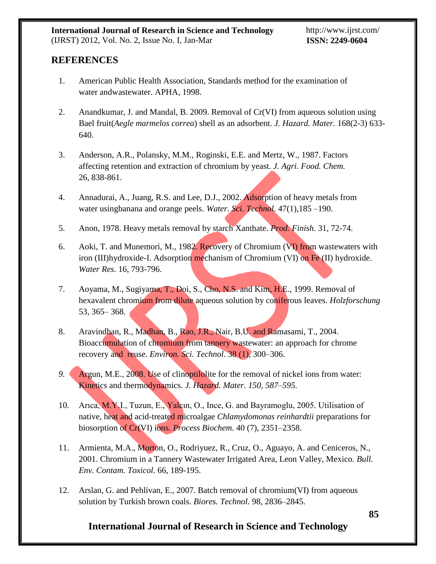# **REFERENCES**

- 1. American Public Health Association, Standards method for the examination of water andwastewater. APHA, 1998.
- 2. Anandkumar, J. and Mandal, B. 2009. Removal of Cr(VI) from aqueous solution using Bael fruit(*Aegle marmelos correa*) shell as an adsorbent. *J. Hazard. Mater.* 168(2-3) 633- 640.
- 3. Anderson, A.R., Polansky, M.M., Roginski, E.E. and Mertz, W., 1987. Factors affecting retention and extraction of chromium by yeast. *J. Agri. Food. Chem.* 26, 838-861.
- 4. Annadurai, A., Juang, R.S. and Lee, D.J., 2002. Adsorption of heavy metals from water usingbanana and orange peels. *Water. Sci. Technol*. 47(1),185 –190.
- 5. Anon, 1978. Heavy metals removal by starch Xanthate. *Prod. Finish.* 31, 72-74.
- 6. Aoki, T. and Munemori, M., 1982. Recovery of Chromium (VI) from wastewaters with iron (III)hydroxide-I. Adsorption mechanism of Chromium (VI) on Fe (II) hydroxide. *Water Res*. 16, 793-796.
- 7. Aoyama, M., Sugiyama, T., Doi, S., Cho, N.S. and Kim, H.E., 1999. Removal of hexavalent chromium from dilute aqueous solution by coniferous leaves. *Holzforschung* 53, 365– 368.
- 8. Aravindhan, R., Madhan, B., Rao, J.R., Nair, B.U. and Ramasami, T., 2004. Bioaccumulation of chromium from tannery wastewater: an approach for chrome recovery and reuse. *Environ. Sci. Technol*. 38 (1), 300–306.
- *9.* Argun, M.E., 2008. Use of clinoptilolite for the removal of nickel ions from water: Kinetics and thermodynamics. *J. Hazard. Mater. 150, 587–595.*
- 10. Arıca, M.Y.I., Tuzun, E., Yalcın, O., Ince, G. and Bayramoglu, 2005. Utilisation of native, heat and acid-treated microalgae *Chlamydomonas reinhardtii* preparations for biosorption of Cr(VI) ions. *Process Biochem*. 40 (7), 2351–2358.
- 11. Armienta, M.A., Morton, O., Rodriyuez, R., Cruz, O., Aguayo, A. and Ceniceros, N., 2001. Chromium in a Tannery Wastewater Irrigated Area, Leon Valley, Mexico. *Bull. Env. Contam. Toxicol*. 66, 189-195.
- 12. Arslan, G. and Pehlivan, E., 2007. Batch removal of chromium(VI) from aqueous solution by Turkish brown coals. *Biores. Technol*. 98, 2836–2845.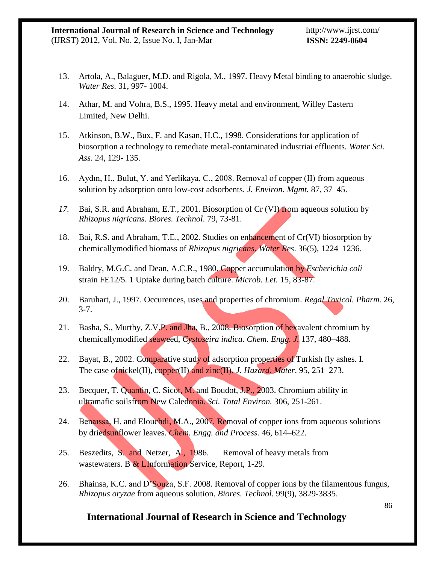- 13. Artola, A., Balaguer, M.D. and Rigola, M., 1997. Heavy Metal binding to anaerobic sludge. *Water Res*. 31, 997- 1004.
- 14. Athar, M. and Vohra, B.S., 1995. Heavy metal and environment, Willey Eastern Limited, New Delhi.
- 15. Atkinson, B.W., Bux, F. and Kasan, H.C., 1998. Considerations for application of biosorption a technology to remediate metal-contaminated industriai effluents. *Water Sci. Ass*. 24, 129- 135.
- 16. Aydın, H., Bulut, Y. and Yerlikaya, C., 2008. Removal of copper (II) from aqueous solution by adsorption onto low-cost adsorbents. *J. Environ. Mgmt.* 87, 37–45.
- *17.* Bai, S.R. and Abraham, E.T., 2001. Biosorption of Cr (VI) from aqueous solution by *Rhizopus nigricans*. *Biores. Technol*. 79, 73-81.
- 18. Bai, R.S. and Abraham, T.E., 2002. Studies on enhancement of Cr(VI) biosorption by chemicallymodified biomass of *Rhizopus nigricans*. *Water Res*. 36(5), 1224–1236.
- 19. Baldry, M.G.C. and Dean, A.C.R., 1980. Copper accumulation by *Escherichia coli* strain FE12/5. 1 Uptake during batch culture. *Microb. Let.* 15, 83-87.
- 20. Baruhart, J., 1997. Occurences, uses and properties of chromium. *Regal Toxicol. Pharm.* 26, 3-7.
- 21. Basha, S., Murthy, Z.V.P. and Jha, B., 2008. Biosorption of hexavalent chromium by chemicallymodified seaweed, *Cystoseira indica. Chem. Engg. J.* 137, 480–488.
- 22. Bayat, B., 2002. Comparative study of adsorption properties of Turkish fly ashes. I. The case ofnickel(II), copper(II) and zinc(II). *J. Hazard. Mater*. 95, 251–273.
- 23. Becquer, T. Quantin, C. Sicot, M. and Boudot, J.P., 2003. Chromium ability in ultramafic soilsfrom New Caledonia. *Sci. Total Environ.* 306, 251-261.
- 24. Benaıssa, H. and Elouchdi, M.A., 2007. Removal of copper ions from aqueous solutions by driedsunflower leaves. *Chem. Engg. and Process.* 46, 614–622.
- 25. Beszedits, S. and Netzer, A., 1986. Removal of heavy metals from wastewaters. B & LInformation Service, Report, 1-29.
- 26. Bhainsa, K.C. and D'Souza, S.F. 2008. Removal of copper ions by the filamentous fungus, *Rhizopus oryzae* from aqueous solution. *Biores. Technol.* 99(9), 3829-3835.